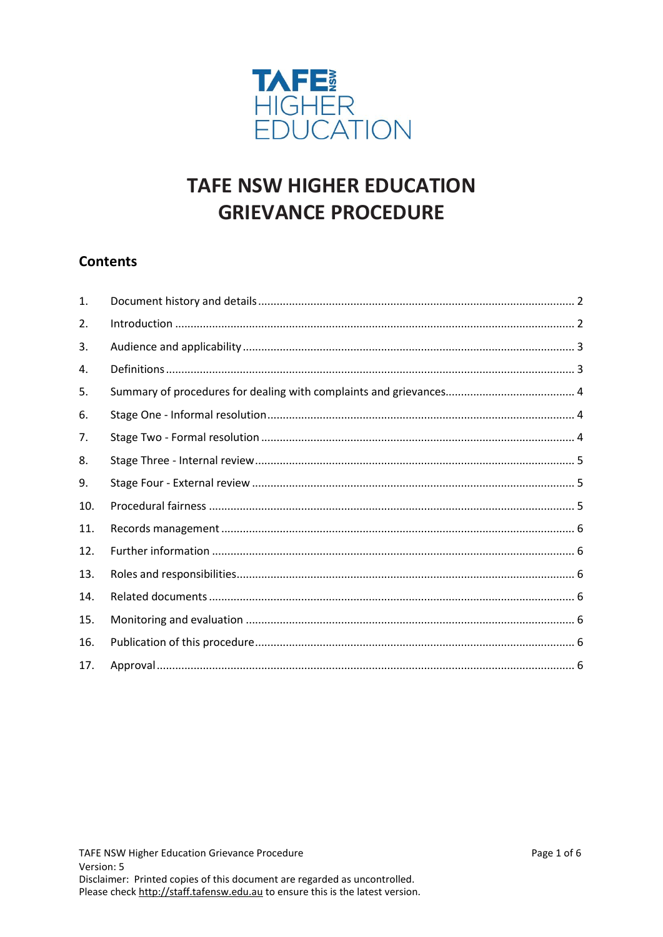

# **TAFE NSW HIGHER EDUCATION GRIEVANCE PROCEDURE**

# **Contents**

| 1.  |  |
|-----|--|
| 2.  |  |
| 3.  |  |
| 4.  |  |
| 5.  |  |
| 6.  |  |
| 7.  |  |
| 8.  |  |
| 9.  |  |
| 10. |  |
| 11. |  |
| 12. |  |
| 13. |  |
| 14. |  |
| 15. |  |
| 16. |  |
| 17. |  |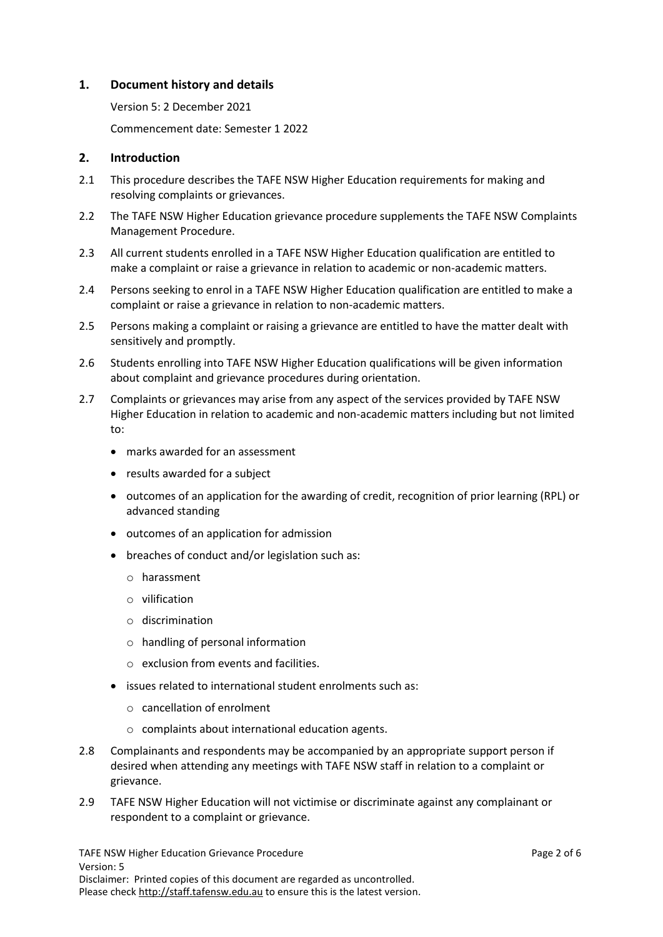#### <span id="page-1-0"></span>**1. Document history and details**

Version 5: 2 December 2021

Commencement date: Semester 1 2022

#### <span id="page-1-1"></span>**2. Introduction**

- 2.1 This procedure describes the TAFE NSW Higher Education requirements for making and resolving complaints or grievances.
- 2.2 The TAFE NSW Higher Education grievance procedure supplements the TAFE NSW Complaints Management Procedure.
- 2.3 All current students enrolled in a TAFE NSW Higher Education qualification are entitled to make a complaint or raise a grievance in relation to academic or non-academic matters.
- 2.4 Persons seeking to enrol in a TAFE NSW Higher Education qualification are entitled to make a complaint or raise a grievance in relation to non-academic matters.
- 2.5 Persons making a complaint or raising a grievance are entitled to have the matter dealt with sensitively and promptly.
- 2.6 Students enrolling into TAFE NSW Higher Education qualifications will be given information about complaint and grievance procedures during orientation.
- 2.7 Complaints or grievances may arise from any aspect of the services provided by TAFE NSW Higher Education in relation to academic and non-academic matters including but not limited to:
	- marks awarded for an assessment
	- results awarded for a subject
	- outcomes of an application for the awarding of credit, recognition of prior learning (RPL) or advanced standing
	- outcomes of an application for admission
	- breaches of conduct and/or legislation such as:
		- o harassment
		- o vilification
		- o discrimination
		- o handling of personal information
		- o exclusion from events and facilities.
	- issues related to international student enrolments such as:
		- o cancellation of enrolment
		- o complaints about international education agents.
- 2.8 Complainants and respondents may be accompanied by an appropriate support person if desired when attending any meetings with TAFE NSW staff in relation to a complaint or grievance.
- 2.9 TAFE NSW Higher Education will not victimise or discriminate against any complainant or respondent to a complaint or grievance.

TAFE NSW Higher Education Grievance Procedure **Page 2 of 6** and 2 of 6 Version: 5 Disclaimer: Printed copies of this document are regarded as uncontrolled. Please check [http://staff.tafensw.edu.au](http://staff.tafensw.edu.au/) to ensure this is the latest version.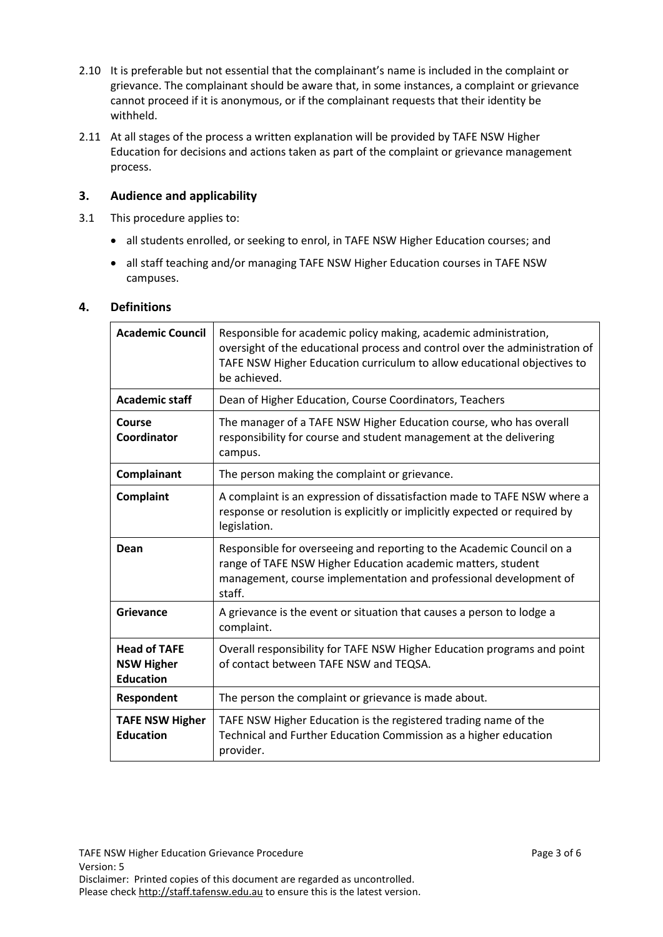- 2.10 It is preferable but not essential that the complainant's name is included in the complaint or grievance. The complainant should be aware that, in some instances, a complaint or grievance cannot proceed if it is anonymous, or if the complainant requests that their identity be withheld.
- 2.11 At all stages of the process a written explanation will be provided by TAFE NSW Higher Education for decisions and actions taken as part of the complaint or grievance management process.

# <span id="page-2-0"></span>**3. Audience and applicability**

- 3.1 This procedure applies to:
	- all students enrolled, or seeking to enrol, in TAFE NSW Higher Education courses; and
	- all staff teaching and/or managing TAFE NSW Higher Education courses in TAFE NSW campuses.

#### <span id="page-2-1"></span>**4. Definitions**

| <b>Academic Council</b>                                      | Responsible for academic policy making, academic administration,<br>oversight of the educational process and control over the administration of<br>TAFE NSW Higher Education curriculum to allow educational objectives to<br>be achieved. |
|--------------------------------------------------------------|--------------------------------------------------------------------------------------------------------------------------------------------------------------------------------------------------------------------------------------------|
| <b>Academic staff</b>                                        | Dean of Higher Education, Course Coordinators, Teachers                                                                                                                                                                                    |
| Course<br>Coordinator                                        | The manager of a TAFE NSW Higher Education course, who has overall<br>responsibility for course and student management at the delivering<br>campus.                                                                                        |
| Complainant                                                  | The person making the complaint or grievance.                                                                                                                                                                                              |
| Complaint                                                    | A complaint is an expression of dissatisfaction made to TAFE NSW where a<br>response or resolution is explicitly or implicitly expected or required by<br>legislation.                                                                     |
| Dean                                                         | Responsible for overseeing and reporting to the Academic Council on a<br>range of TAFE NSW Higher Education academic matters, student<br>management, course implementation and professional development of<br>staff.                       |
| Grievance                                                    | A grievance is the event or situation that causes a person to lodge a<br>complaint.                                                                                                                                                        |
| <b>Head of TAFE</b><br><b>NSW Higher</b><br><b>Education</b> | Overall responsibility for TAFE NSW Higher Education programs and point<br>of contact between TAFE NSW and TEQSA.                                                                                                                          |
| Respondent                                                   | The person the complaint or grievance is made about.                                                                                                                                                                                       |
| <b>TAFE NSW Higher</b><br><b>Education</b>                   | TAFE NSW Higher Education is the registered trading name of the<br>Technical and Further Education Commission as a higher education<br>provider.                                                                                           |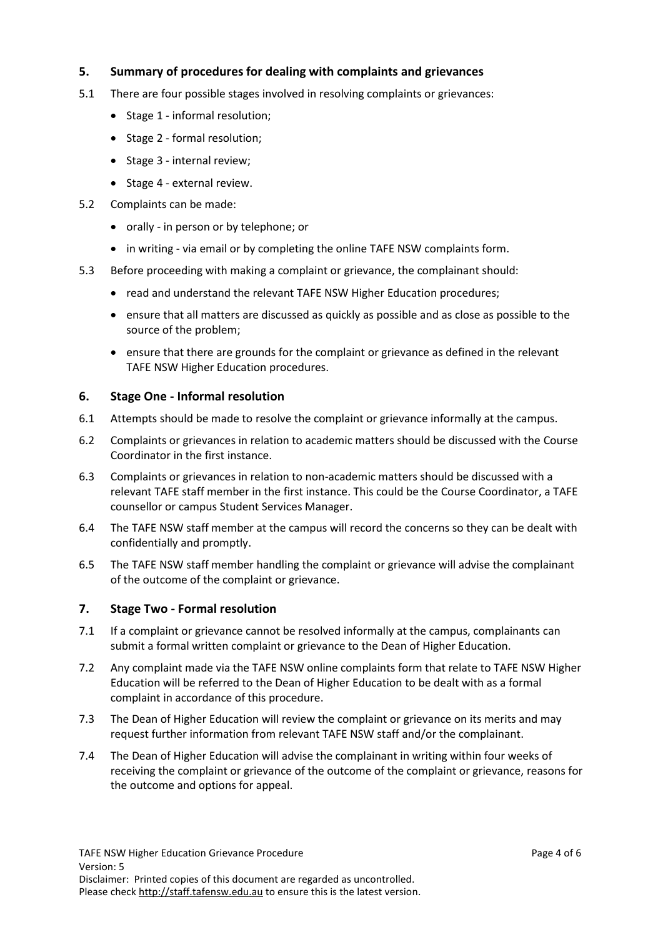# <span id="page-3-0"></span>**5. Summary of procedures for dealing with complaints and grievances**

- 5.1 There are four possible stages involved in resolving complaints or grievances:
	- Stage 1 informal resolution;
	- Stage 2 formal resolution;
	- Stage 3 internal review;
	- Stage 4 external review.
- 5.2 Complaints can be made:
	- orally in person or by telephone; or
	- in writing via email or by completing the online TAFE NSW complaints form.
- 5.3 Before proceeding with making a complaint or grievance, the complainant should:
	- read and understand the relevant TAFE NSW Higher Education procedures;
	- ensure that all matters are discussed as quickly as possible and as close as possible to the source of the problem;
	- ensure that there are grounds for the complaint or grievance as defined in the relevant TAFE NSW Higher Education procedures.

#### <span id="page-3-1"></span>**6. Stage One - Informal resolution**

- 6.1 Attempts should be made to resolve the complaint or grievance informally at the campus.
- 6.2 Complaints or grievances in relation to academic matters should be discussed with the Course Coordinator in the first instance.
- 6.3 Complaints or grievances in relation to non-academic matters should be discussed with a relevant TAFE staff member in the first instance. This could be the Course Coordinator, a TAFE counsellor or campus Student Services Manager.
- 6.4 The TAFE NSW staff member at the campus will record the concerns so they can be dealt with confidentially and promptly.
- 6.5 The TAFE NSW staff member handling the complaint or grievance will advise the complainant of the outcome of the complaint or grievance.

# <span id="page-3-2"></span>**7. Stage Two - Formal resolution**

- 7.1 If a complaint or grievance cannot be resolved informally at the campus, complainants can submit a formal written complaint or grievance to the Dean of Higher Education.
- 7.2 Any complaint made via the TAFE NSW online complaints form that relate to TAFE NSW Higher Education will be referred to the Dean of Higher Education to be dealt with as a formal complaint in accordance of this procedure.
- 7.3 The Dean of Higher Education will review the complaint or grievance on its merits and may request further information from relevant TAFE NSW staff and/or the complainant.
- 7.4 The Dean of Higher Education will advise the complainant in writing within four weeks of receiving the complaint or grievance of the outcome of the complaint or grievance, reasons for the outcome and options for appeal.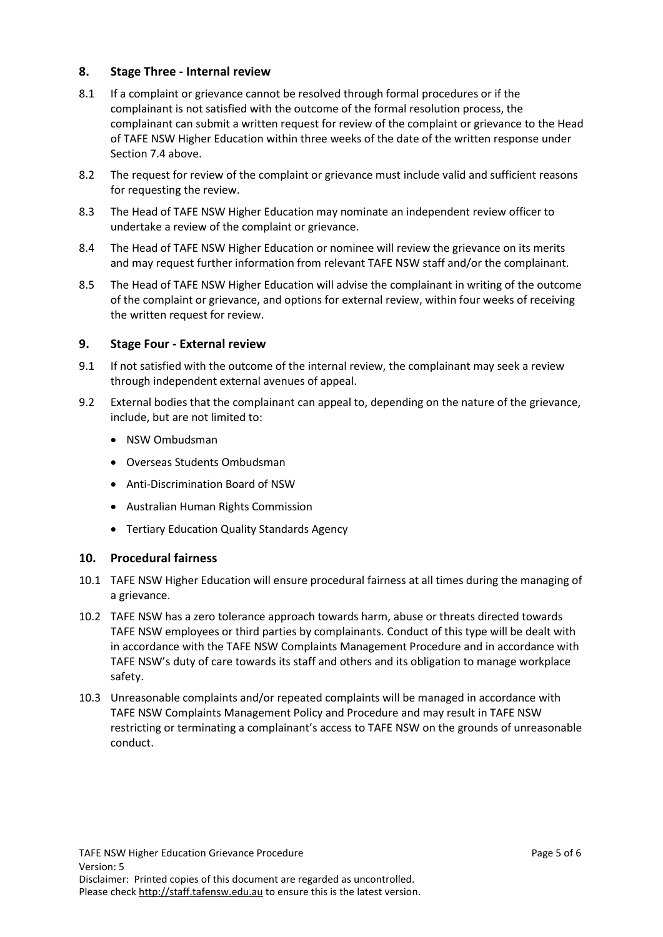#### <span id="page-4-0"></span>**8. Stage Three - Internal review**

- 8.1 If a complaint or grievance cannot be resolved through formal procedures or if the complainant is not satisfied with the outcome of the formal resolution process, the complainant can submit a written request for review of the complaint or grievance to the Head of TAFE NSW Higher Education within three weeks of the date of the written response under Section 7.4 above.
- 8.2 The request for review of the complaint or grievance must include valid and sufficient reasons for requesting the review.
- 8.3 The Head of TAFE NSW Higher Education may nominate an independent review officer to undertake a review of the complaint or grievance.
- 8.4 The Head of TAFE NSW Higher Education or nominee will review the grievance on its merits and may request further information from relevant TAFE NSW staff and/or the complainant.
- 8.5 The Head of TAFE NSW Higher Education will advise the complainant in writing of the outcome of the complaint or grievance, and options for external review, within four weeks of receiving the written request for review.

#### <span id="page-4-1"></span>**9. Stage Four - External review**

- 9.1 If not satisfied with the outcome of the internal review, the complainant may seek a review through independent external avenues of appeal.
- 9.2 External bodies that the complainant can appeal to, depending on the nature of the grievance, include, but are not limited to:
	- NSW Ombudsman
	- Overseas Students Ombudsman
	- Anti-Discrimination Board of NSW
	- Australian Human Rights Commission
	- Tertiary Education Quality Standards Agency

#### <span id="page-4-2"></span>**10. Procedural fairness**

- 10.1 TAFE NSW Higher Education will ensure procedural fairness at all times during the managing of a grievance.
- 10.2 TAFE NSW has a zero tolerance approach towards harm, abuse or threats directed towards TAFE NSW employees or third parties by complainants. Conduct of this type will be dealt with in accordance with the TAFE NSW Complaints Management Procedure and in accordance with TAFE NSW's duty of care towards its staff and others and its obligation to manage workplace safety.
- 10.3 Unreasonable complaints and/or repeated complaints will be managed in accordance with TAFE NSW Complaints Management Policy and Procedure and may result in TAFE NSW restricting or terminating a complainant's access to TAFE NSW on the grounds of unreasonable conduct.